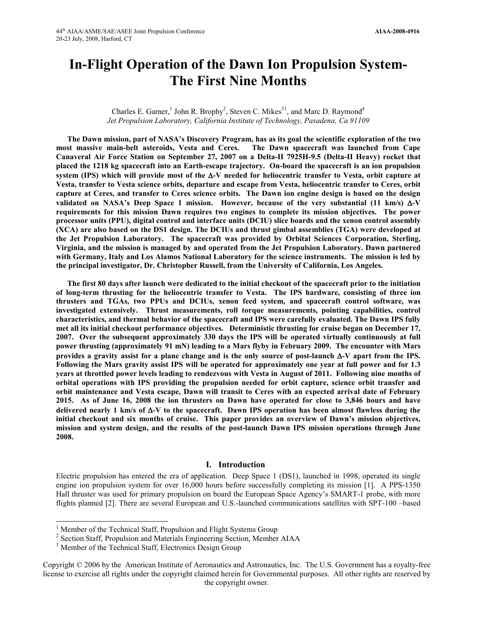# **In-Flight Operation of the Dawn Ion Propulsion System-The First Nine Months**

Charles E. Garner,<sup>[1](#page-0-0)</sup> John R. Brophy<sup>2</sup>, Steven C. Mikes<sup>31</sup>, and Marc D. Raymond<sup>4</sup> *Jet Propulsion Laboratory, California Institute of Technology, Pasadena, Ca 91109*

**The Dawn mission, part of NASA's Discovery Program, has as its goal the scientific exploration of the two most massive main-belt asteroids, Vesta and Ceres. The Dawn spacecraft was launched from Cape Canaveral Air Force Station on September 27, 2007 on a Delta-II 7925H-9.5 (Delta-II Heavy) rocket that placed the 1218 kg spacecraft into an Earth-escape trajectory. On-board the spacecraft is an ion propulsion system (IPS) which will provide most of the** ∆**-V needed for heliocentric transfer to Vesta, orbit capture at Vesta, transfer to Vesta science orbits, departure and escape from Vesta, heliocentric transfer to Ceres, orbit capture at Ceres, and transfer to Ceres science orbits. The Dawn ion engine design is based on the design validated on NASA's Deep Space 1 mission. However, because of the very substantial (11 km/s)** ∆**-V requirements for this mission Dawn requires two engines to complete its mission objectives. The power processor units (PPU), digital control and interface units (DCIU) slice boards and the xenon control assembly (XCA) are also based on the DS1 design. The DCIUs and thrust gimbal assemblies (TGA) were developed at the Jet Propulsion Laboratory. The spacecraft was provided by Orbital Sciences Corporation, Sterling, Virginia, and the mission is managed by and operated from the Jet Propulsion Laboratory. Dawn partnered with Germany, Italy and Los Alamos National Laboratory for the science instruments. The mission is led by the principal investigator, Dr. Christopher Russell, from the University of California, Los Angeles.**

**The first 80 days after launch were dedicated to the initial checkout of the spacecraft prior to the initiation of long-term thrusting for the heliocentric transfer to Vesta. The IPS hardware, consisting of three ion thrusters and TGAs, two PPUs and DCIUs, xenon feed system, and spacecraft control software, was investigated extensively. Thrust measurements, roll torque measurements, pointing capabilities, control characteristics, and thermal behavior of the spacecraft and IPS were carefully evaluated. The Dawn IPS fully met all its initial checkout performance objectives. Deterministic thrusting for cruise began on December 17, 2007. Over the subsequent approximately 330 days the IPS will be operated virtually continuously at full power thrusting (approximately 91 mN) leading to a Mars flyby in February 2009. The encounter with Mars provides a gravity assist for a plane change and is the only source of post-launch** ∆**-V apart from the IPS. Following the Mars gravity assist IPS will be operated for approximately one year at full power and for 1.3 years at throttled power levels leading to rendezvous with Vesta in August of 2011. Following nine months of orbital operations with IPS providing the propulsion needed for orbit capture, science orbit transfer and orbit maintenance and Vesta escape, Dawn will transit to Ceres with an expected arrival date of February 2015. As of June 16, 2008 the ion thrusters on Dawn have operated for close to 3,846 hours and have delivered nearly 1 km/s of** ∆**-V to the spacecraft. Dawn IPS operation has been almost flawless during the initial checkout and six months of cruise. This paper provides an overview of Dawn's mission objectives, mission and system design, and the results of the post-launch Dawn IPS mission operations through June 2008.**

## **I. Introduction**

Electric propulsion has entered the era of application. Deep Space 1 (DS1), launched in 1998, operated its single engine ion propulsion system for over 16,000 hours before successfully completing its mission [1]. A PPS-1350 Hall thruster was used for primary propulsion on board the European Space Agency's SMART-1 probe, with more flights planned [2]. There are several European and U.S.-launched communications satellites with SPT-100 –based

 $\overline{a}$ 

the copyright owner. license to exercise all rights under the copyright claimed herein for Governmental purposes. All other rights are reserved by Copyright © 2006 by the American Institute of Aeronautics and Astronautics, Inc. The U.S. Government has a royalty-free

<span id="page-0-0"></span><sup>&</sup>lt;sup>1</sup> Member of the Technical Staff, Propulsion and Flight Systems Group  $2$  Section Staff, Propulsion and Materials Engineering Section, Member AIAA

<sup>&</sup>lt;sup>3</sup> Member of the Technical Staff, Electronics Design Group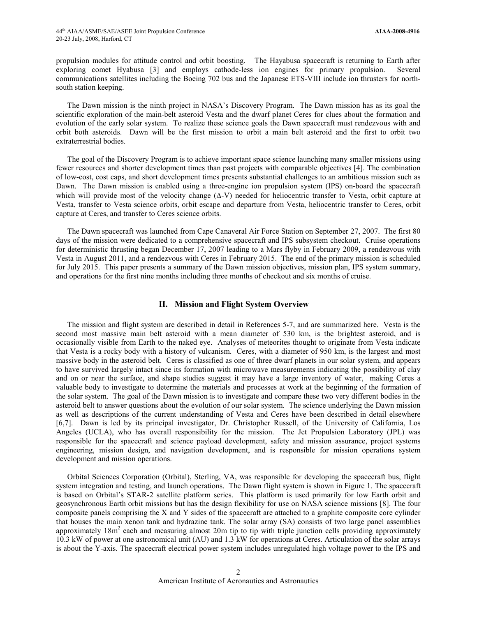propulsion modules for attitude control and orbit boosting. The Hayabusa spacecraft is returning to Earth after exploring comet Hyabusa [3] and employs cathode-less ion engines for primary propulsion. Several communications satellites including the Boeing 702 bus and the Japanese ETS-VIII include ion thrusters for northsouth station keeping.

The Dawn mission is the ninth project in NASA's Discovery Program. The Dawn mission has as its goal the scientific exploration of the main-belt asteroid Vesta and the dwarf planet Ceres for clues about the formation and evolution of the early solar system. To realize these science goals the Dawn spacecraft must rendezvous with and orbit both asteroids. Dawn will be the first mission to orbit a main belt asteroid and the first to orbit two extraterrestrial bodies.

The goal of the Discovery Program is to achieve important space science launching many smaller missions using fewer resources and shorter development times than past projects with comparable objectives [4]. The combination of low-cost, cost caps, and short development times presents substantial challenges to an ambitious mission such as Dawn. The Dawn mission is enabled using a three-engine ion propulsion system (IPS) on-board the spacecraft which will provide most of the velocity change (∆-V) needed for heliocentric transfer to Vesta, orbit capture at Vesta, transfer to Vesta science orbits, orbit escape and departure from Vesta, heliocentric transfer to Ceres, orbit capture at Ceres, and transfer to Ceres science orbits.

The Dawn spacecraft was launched from Cape Canaveral Air Force Station on September 27, 2007. The first 80 days of the mission were dedicated to a comprehensive spacecraft and IPS subsystem checkout. Cruise operations for deterministic thrusting began December 17, 2007 leading to a Mars flyby in February 2009, a rendezvous with Vesta in August 2011, and a rendezvous with Ceres in February 2015. The end of the primary mission is scheduled for July 2015. This paper presents a summary of the Dawn mission objectives, mission plan, IPS system summary, and operations for the first nine months including three months of checkout and six months of cruise.

## **II. Mission and Flight System Overview**

The mission and flight system are described in detail in References 5-7, and are summarized here. Vesta is the second most massive main belt asteroid with a mean diameter of 530 km, is the brightest asteroid, and is occasionally visible from Earth to the naked eye. Analyses of meteorites thought to originate from Vesta indicate that Vesta is a rocky body with a history of vulcanism. Ceres, with a diameter of 950 km, is the largest and most massive body in the asteroid belt. Ceres is classified as one of three dwarf planets in our solar system, and appears to have survived largely intact since its formation with microwave measurements indicating the possibility of clay and on or near the surface, and shape studies suggest it may have a large inventory of water, making Ceres a valuable body to investigate to determine the materials and processes at work at the beginning of the formation of the solar system. The goal of the Dawn mission is to investigate and compare these two very different bodies in the asteroid belt to answer questions about the evolution of our solar system. The science underlying the Dawn mission as well as descriptions of the current understanding of Vesta and Ceres have been described in detail elsewhere [6,7]. Dawn is led by its principal investigator, Dr. Christopher Russell, of the University of California, Los Angeles (UCLA), who has overall responsibility for the mission. The Jet Propulsion Laboratory (JPL) was responsible for the spacecraft and science payload development, safety and mission assurance, project systems engineering, mission design, and navigation development, and is responsible for mission operations system development and mission operations.

Orbital Sciences Corporation (Orbital), Sterling, VA, was responsible for developing the spacecraft bus, flight system integration and testing, and launch operations. The Dawn flight system is shown in Figure 1. The spacecraft is based on Orbital's STAR-2 satellite platform series. This platform is used primarily for low Earth orbit and geosynchronous Earth orbit missions but has the design flexibility for use on NASA science missions [8]. The four composite panels comprising the X and Y sides of the spacecraft are attached to a graphite composite core cylinder that houses the main xenon tank and hydrazine tank. The solar array (SA) consists of two large panel assemblies approximately  $18m^2$  each and measuring almost 20m tip to tip with triple junction cells providing approximately 10.3 kW of power at one astronomical unit (AU) and 1.3 kW for operations at Ceres. Articulation of the solar arrays is about the Y-axis. The spacecraft electrical power system includes unregulated high voltage power to the IPS and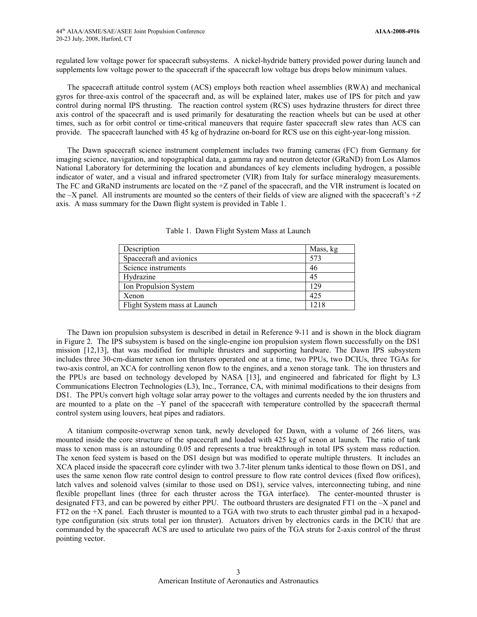regulated low voltage power for spacecraft subsystems. A nickel-hydride battery provided power during launch and supplements low voltage power to the spacecraft if the spacecraft low voltage bus drops below minimum values.

The spacecraft attitude control system (ACS) employs both reaction wheel assemblies (RWA) and mechanical gyros for three-axis control of the spacecraft and, as will be explained later, makes use of IPS for pitch and yaw control during normal IPS thrusting. The reaction control system (RCS) uses hydrazine thrusters for direct three axis control of the spacecraft and is used primarily for desaturating the reaction wheels but can be used at other times, such as for orbit control or time-critical maneuvers that require faster spacecraft slew rates than ACS can provide. The spacecraft launched with 45 kg of hydrazine on-board for RCS use on this eight-year-long mission.

The Dawn spacecraft science instrument complement includes two framing cameras (FC) from Germany for imaging science, navigation, and topographical data, a gamma ray and neutron detector (GRaND) from Los Alamos National Laboratory for determining the location and abundances of key elements including hydrogen, a possible indicator of water, and a visual and infrared spectrometer (VIR) from Italy for surface mineralogy measurements. The FC and GRaND instruments are located on the  $+Z$  panel of the spacecraft, and the VIR instrument is located on the –X panel. All instruments are mounted so the centers of their fields of view are aligned with the spacecraft's +*Z*  axis. A mass summary for the Dawn flight system is provided in Table 1.

| Description                  | Mass, kg |
|------------------------------|----------|
| Spacecraft and avionics      | 573      |
| Science instruments          | 46       |
| Hydrazine                    | 45       |
| Ion Propulsion System        | 129      |
| Xenon                        | 425      |
| Flight System mass at Launch | 1218     |

Table 1. Dawn Flight System Mass at Launch

The Dawn ion propulsion subsystem is described in detail in Reference 9-11 and is shown in the block diagram in Figure 2. The IPS subsystem is based on the single-engine ion propulsion system flown successfully on the DS1 mission [12,13], that was modified for multiple thrusters and supporting hardware. The Dawn IPS subsystem includes three 30-cm-diameter xenon ion thrusters operated one at a time, two PPUs, two DCIUs, three TGAs for two-axis control, an XCA for controlling xenon flow to the engines, and a xenon storage tank. The ion thrusters and the PPUs are based on technology developed by NASA [13], and engineered and fabricated for flight by L3 Communications Electron Technologies (L3), Inc., Torrance, CA, with minimal modifications to their designs from DS1. The PPUs convert high voltage solar array power to the voltages and currents needed by the ion thrusters and are mounted to a plate on the  $-Y$  panel of the spacecraft with temperature controlled by the spacecraft thermal control system using louvers, heat pipes and radiators.

A titanium composite-overwrap xenon tank, newly developed for Dawn, with a volume of 266 liters, was mounted inside the core structure of the spacecraft and loaded with 425 kg of xenon at launch. The ratio of tank mass to xenon mass is an astounding 0.05 and represents a true breakthrough in total IPS system mass reduction. The xenon feed system is based on the DS1 design but was modified to operate multiple thrusters. It includes an XCA placed inside the spacecraft core cylinder with two 3.7-liter plenum tanks identical to those flown on DS1, and uses the same xenon flow rate control design to control pressure to flow rate control devices (fixed flow orifices), latch valves and solenoid valves (similar to those used on DS1), service valves, interconnecting tubing, and nine flexible propellant lines (three for each thruster across the TGA interface). The center-mounted thruster is designated FT3, and can be powered by either PPU. The outboard thrusters are designated FT1 on the –X panel and FT2 on the +X panel. Each thruster is mounted to a TGA with two struts to each thruster gimbal pad in a hexapodtype configuration (six struts total per ion thruster). Actuators driven by electronics cards in the DCIU that are commanded by the spacecraft ACS are used to articulate two pairs of the TGA struts for 2-axis control of the thrust pointing vector.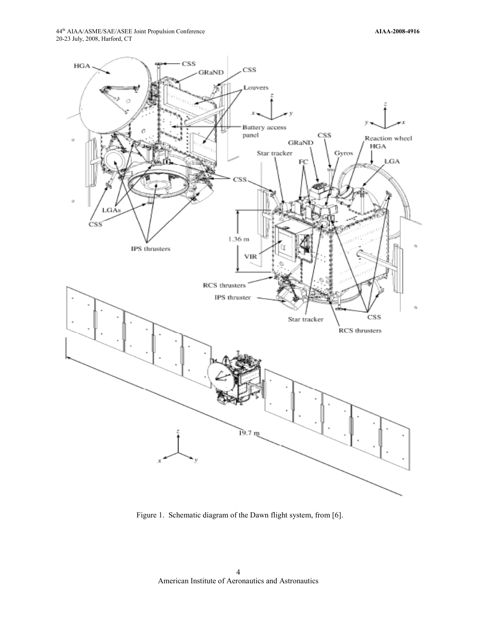

Figure 1. Schematic diagram of the Dawn flight system, from [6].

American Institute of Aeronautics and Astronautics 4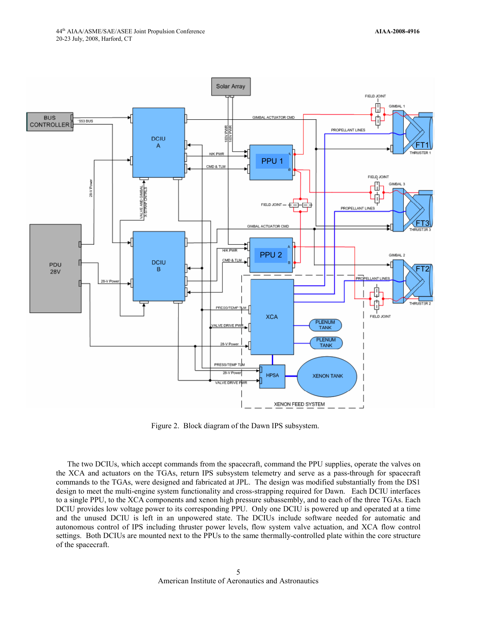

Figure 2. Block diagram of the Dawn IPS subsystem.

The two DCIUs, which accept commands from the spacecraft, command the PPU supplies, operate the valves on the XCA and actuators on the TGAs, return IPS subsystem telemetry and serve as a pass-through for spacecraft commands to the TGAs, were designed and fabricated at JPL. The design was modified substantially from the DS1 design to meet the multi-engine system functionality and cross-strapping required for Dawn. Each DCIU interfaces to a single PPU, to the XCA components and xenon high pressure subassembly, and to each of the three TGAs. Each DCIU provides low voltage power to its corresponding PPU. Only one DCIU is powered up and operated at a time and the unused DCIU is left in an unpowered state. The DCIUs include software needed for automatic and autonomous control of IPS including thruster power levels, flow system valve actuation, and XCA flow control settings. Both DCIUs are mounted next to the PPUs to the same thermally-controlled plate within the core structure of the spacecraft.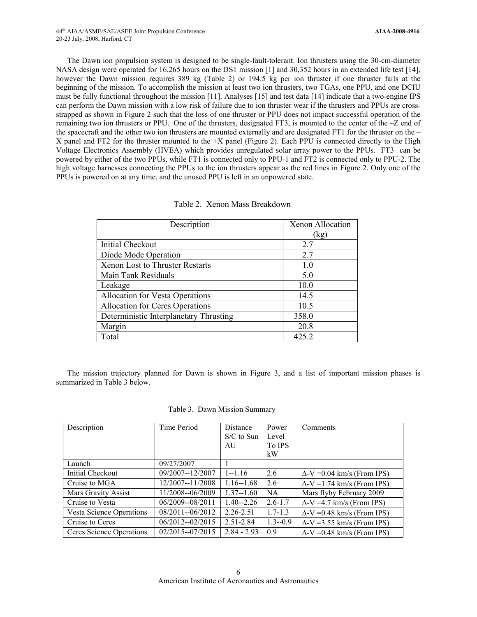The Dawn ion propulsion system is designed to be single-fault-tolerant. Ion thrusters using the 30-cm-diameter NASA design were operated for 16,265 hours on the DS1 mission [1] and 30,352 hours in an extended life test [14], however the Dawn mission requires 389 kg (Table 2) or 194.5 kg per ion thruster if one thruster fails at the beginning of the mission. To accomplish the mission at least two ion thrusters, two TGAs, one PPU, and one DCIU must be fully functional throughout the mission [11]. Analyses [15] and test data [14] indicate that a two-engine IPS can perform the Dawn mission with a low risk of failure due to ion thruster wear if the thrusters and PPUs are crossstrapped as shown in Figure 2 such that the loss of one thruster or PPU does not impact successful operation of the remaining two ion thrusters or PPU. One of the thrusters, designated FT3, is mounted to the center of the –Z end of the spacecraft and the other two ion thrusters are mounted externally and are designated FT1 for the thruster on the – X panel and FT2 for the thruster mounted to the +X panel (Figure 2). Each PPU is connected directly to the High Voltage Electronics Assembly (HVEA) which provides unregulated solar array power to the PPUs. FT3 can be powered by either of the two PPUs, while FT1 is connected only to PPU-1 and FT2 is connected only to PPU-2. The high voltage harnesses connecting the PPUs to the ion thrusters appear as the red lines in Figure 2. Only one of the PPUs is powered on at any time, and the unused PPU is left in an unpowered state.

| Description                            | Xenon Allocation |
|----------------------------------------|------------------|
|                                        | (kg)             |
| Initial Checkout                       | 2.7              |
| Diode Mode Operation                   | 2.7              |
| <b>Xenon Lost to Thruster Restarts</b> | 1.0              |
| Main Tank Residuals                    | 5.0              |
| Leakage                                | 10.0             |
| <b>Allocation for Vesta Operations</b> | 14.5             |
| Allocation for Ceres Operations        | 10.5             |
| Deterministic Interplanetary Thrusting | 358.0            |
| Margin                                 | 20.8             |
| Total                                  | 425.2            |

The mission trajectory planned for Dawn is shown in Figure 3, and a list of important mission phases is summarized in Table 3 below.

|  |  |  | Table 3. Dawn Mission Summary |
|--|--|--|-------------------------------|
|--|--|--|-------------------------------|

| Description                     | Time Period         | Distance<br>$S/C$ to Sun<br>AU | Power<br>Level<br>To IPS<br>kW | Comments                           |
|---------------------------------|---------------------|--------------------------------|--------------------------------|------------------------------------|
| Launch                          | 09/27/2007          |                                |                                |                                    |
| Initial Checkout                | 09/2007--12/2007    | $1 - 1.16$                     | 2.6                            | $\Delta$ -V = 0.04 km/s (From IPS) |
| Cruise to MGA                   | 12/2007--11/2008    | $1.16 - 1.68$                  | 2.6                            | $\Delta$ -V = 1.74 km/s (From IPS) |
| Mars Gravity Assist             | 11/2008--06/2009    | $1.37 - 1.60$                  | NA.                            | Mars flyby February 2009           |
| Cruise to Vesta                 | 06/2009--08/2011    | $1.40 - 2.26$                  | $2.6 - 1.7$                    | $\Delta$ -V =4.7 km/s (From IPS)   |
| <b>Vesta Science Operations</b> | $08/2011 - 06/2012$ | 2.26-2.51                      | $1.7 - 1.3$                    | $\Delta$ -V = 0.48 km/s (From IPS) |
| Cruise to Ceres                 | $06/2012 - 02/2015$ | 2.51-2.84                      | $1.3 - 0.9$                    | $\Delta$ -V = 3.55 km/s (From IPS) |
| Ceres Science Operations        | $02/2015 - 07/2015$ | $2.84 - 2.93$                  | 0.9                            | $\Delta$ -V = 0.48 km/s (From IPS) |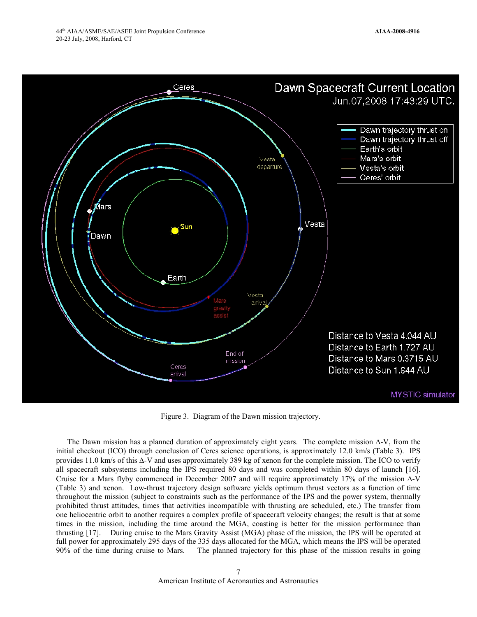

Figure 3. Diagram of the Dawn mission trajectory.

The Dawn mission has a planned duration of approximately eight years. The complete mission ∆-V, from the initial checkout (ICO) through conclusion of Ceres science operations, is approximately 12.0 km/s (Table 3). IPS provides 11.0 km/s of this ∆-V and uses approximately 389 kg of xenon for the complete mission. The ICO to verify all spacecraft subsystems including the IPS required 80 days and was completed within 80 days of launch [16]. Cruise for a Mars flyby commenced in December 2007 and will require approximately 17% of the mission ∆-V (Table 3) and xenon. Low-thrust trajectory design software yields optimum thrust vectors as a function of time throughout the mission (subject to constraints such as the performance of the IPS and the power system, thermally prohibited thrust attitudes, times that activities incompatible with thrusting are scheduled, etc.) The transfer from one heliocentric orbit to another requires a complex profile of spacecraft velocity changes; the result is that at some times in the mission, including the time around the MGA, coasting is better for the mission performance than thrusting [17]. During cruise to the Mars Gravity Assist (MGA) phase of the mission, the IPS will be operated at full power for approximately 295 days of the 335 days allocated for the MGA, which means the IPS will be operated 90% of the time during cruise to Mars. The planned trajectory for this phase of the mission results in going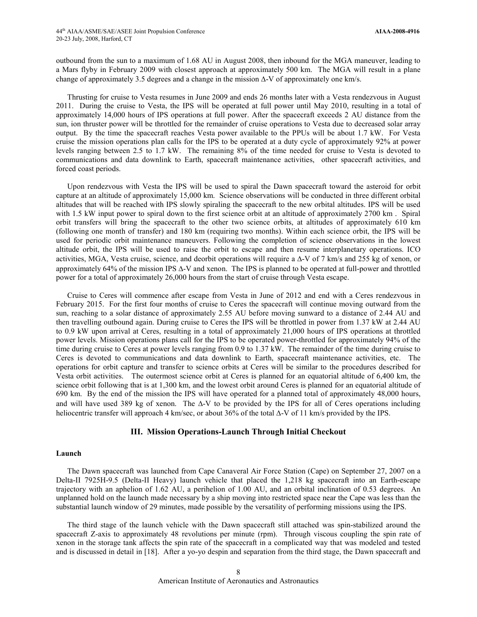outbound from the sun to a maximum of 1.68 AU in August 2008, then inbound for the MGA maneuver, leading to a Mars flyby in February 2009 with closest approach at approximately 500 km. The MGA will result in a plane change of approximately 3.5 degrees and a change in the mission ∆-V of approximately one km/s.

Thrusting for cruise to Vesta resumes in June 2009 and ends 26 months later with a Vesta rendezvous in August 2011. During the cruise to Vesta, the IPS will be operated at full power until May 2010, resulting in a total of approximately 14,000 hours of IPS operations at full power. After the spacecraft exceeds 2 AU distance from the sun, ion thruster power will be throttled for the remainder of cruise operations to Vesta due to decreased solar array output. By the time the spacecraft reaches Vesta power available to the PPUs will be about 1.7 kW. For Vesta cruise the mission operations plan calls for the IPS to be operated at a duty cycle of approximately 92% at power levels ranging between 2.5 to 1.7 kW. The remaining 8% of the time needed for cruise to Vesta is devoted to communications and data downlink to Earth, spacecraft maintenance activities, other spacecraft activities, and forced coast periods.

Upon rendezvous with Vesta the IPS will be used to spiral the Dawn spacecraft toward the asteroid for orbit capture at an altitude of approximately 15,000 km. Science observations will be conducted in three different orbital altitudes that will be reached with IPS slowly spiraling the spacecraft to the new orbital altitudes. IPS will be used with 1.5 kW input power to spiral down to the first science orbit at an altitude of approximately 2700 km. Spiral orbit transfers will bring the spacecraft to the other two science orbits, at altitudes of approximately 610 km (following one month of transfer) and 180 km (requiring two months). Within each science orbit, the IPS will be used for periodic orbit maintenance maneuvers. Following the completion of science observations in the lowest altitude orbit, the IPS will be used to raise the orbit to escape and then resume interplanetary operations. ICO activities, MGA, Vesta cruise, science, and deorbit operations will require a ∆-V of 7 km/s and 255 kg of xenon, or approximately 64% of the mission IPS ∆-V and xenon. The IPS is planned to be operated at full-power and throttled power for a total of approximately 26,000 hours from the start of cruise through Vesta escape.

Cruise to Ceres will commence after escape from Vesta in June of 2012 and end with a Ceres rendezvous in February 2015. For the first four months of cruise to Ceres the spacecraft will continue moving outward from the sun, reaching to a solar distance of approximately 2.55 AU before moving sunward to a distance of 2.44 AU and then travelling outbound again. During cruise to Ceres the IPS will be throttled in power from 1.37 kW at 2.44 AU to 0.9 kW upon arrival at Ceres, resulting in a total of approximately 21,000 hours of IPS operations at throttled power levels. Mission operations plans call for the IPS to be operated power-throttled for approximately 94% of the time during cruise to Ceres at power levels ranging from 0.9 to 1.37 kW. The remainder of the time during cruise to Ceres is devoted to communications and data downlink to Earth, spacecraft maintenance activities, etc. The operations for orbit capture and transfer to science orbits at Ceres will be similar to the procedures described for Vesta orbit activities. The outermost science orbit at Ceres is planned for an equatorial altitude of 6,400 km, the science orbit following that is at 1,300 km, and the lowest orbit around Ceres is planned for an equatorial altitude of 690 km. By the end of the mission the IPS will have operated for a planned total of approximately 48,000 hours, and will have used 389 kg of xenon. The ∆-V to be provided by the IPS for all of Ceres operations including heliocentric transfer will approach 4 km/sec, or about 36% of the total ∆-V of 11 km/s provided by the IPS.

## **III. Mission Operations-Launch Through Initial Checkout**

#### **Launch**

The Dawn spacecraft was launched from Cape Canaveral Air Force Station (Cape) on September 27, 2007 on a Delta-II 7925H-9.5 (Delta-II Heavy) launch vehicle that placed the 1,218 kg spacecraft into an Earth-escape trajectory with an aphelion of 1.62 AU, a perihelion of 1.00 AU, and an orbital inclination of 0.53 degrees. An unplanned hold on the launch made necessary by a ship moving into restricted space near the Cape was less than the substantial launch window of 29 minutes, made possible by the versatility of performing missions using the IPS.

The third stage of the launch vehicle with the Dawn spacecraft still attached was spin-stabilized around the spacecraft Z-axis to approximately 48 revolutions per minute (rpm). Through viscous coupling the spin rate of xenon in the storage tank affects the spin rate of the spacecraft in a complicated way that was modeled and tested and is discussed in detail in [18]. After a yo-yo despin and separation from the third stage, the Dawn spacecraft and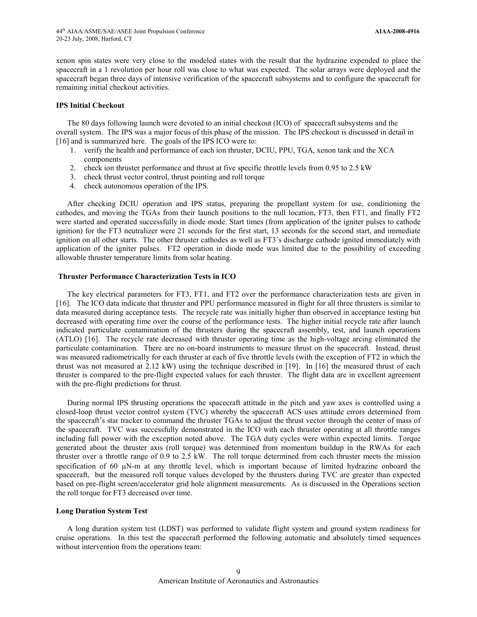xenon spin states were very close to the modeled states with the result that the hydrazine expended to place the spacecraft in a 1 revolution per hour roll was close to what was expected. The solar arrays were deployed and the spacecraft began three days of intensive verification of the spacecraft subsystems and to configure the spacecraft for remaining initial checkout activities.

#### **IPS Initial Checkout**

The 80 days following launch were devoted to an initial checkout (ICO) of spacecraft subsystems and the overall system. The IPS was a major focus of this phase of the mission. The IPS checkout is discussed in detail in [16] and is summarized here. The goals of the IPS ICO were to:

- 1. verify the health and performance of each ion thruster, DCIU, PPU, TGA, xenon tank and the XCA components
- 2. check ion thruster performance and thrust at five specific throttle levels from 0.95 to 2.5 kW
- 3. check thrust vector control, thrust pointing and roll torque
- 4. check autonomous operation of the IPS.

After checking DCIU operation and IPS status, preparing the propellant system for use, conditioning the cathodes, and moving the TGAs from their launch positions to the null location, FT3, then FT1, and finally FT2 were started and operated successfully in diode mode. Start times (from application of the igniter pulses to cathode ignition) for the FT3 neutralizer were 21 seconds for the first start, 13 seconds for the second start, and immediate ignition on all other starts. The other thruster cathodes as well as FT3's discharge cathode ignited immediately with application of the igniter pulses. FT2 operation in diode mode was limited due to the possibility of exceeding allowable thruster temperature limits from solar heating.

#### **Thruster Performance Characterization Tests in ICO**

The key electrical parameters for FT3, FT1, and FT2 over the performance characterization tests are given in [16]. The ICO data indicate that thruster and PPU performance measured in flight for all three thrusters is similar to data measured during acceptance tests. The recycle rate was initially higher than observed in acceptance testing but decreased with operating time over the course of the performance tests. The higher initial recycle rate after launch indicated particulate contamination of the thrusters during the spacecraft assembly, test, and launch operations (ATLO) [16]. The recycle rate decreased with thruster operating time as the high-voltage arcing eliminated the particulate contamination. There are no on-board instruments to measure thrust on the spacecraft. Instead, thrust was measured radiometrically for each thruster at each of five throttle levels (with the exception of FT2 in which the thrust was not measured at 2.12 kW) using the technique described in [19]. In [16] the measured thrust of each thruster is compared to the pre-flight expected values for each thruster. The flight data are in excellent agreement with the pre-flight predictions for thrust.

During normal IPS thrusting operations the spacecraft attitude in the pitch and yaw axes is controlled using a closed-loop thrust vector control system (TVC) whereby the spacecraft ACS uses attitude errors determined from the spacecraft's star tracker to command the thruster TGAs to adjust the thrust vector through the center of mass of the spacecraft. TVC was successfully demonstrated in the ICO with each thruster operating at all throttle ranges including full power with the exception noted above. The TGA duty cycles were within expected limits. Torque generated about the thruster axis (roll torque) was determined from momentum buildup in the RWAs for each thruster over a throttle range of 0.9 to 2.5 kW. The roll torque determined from each thruster meets the mission specification of 60  $\mu$ N-m at any throttle level, which is important because of limited hydrazine onboard the spacecraft, but the measured roll torque values developed by the thrusters during TVC are greater than expected based on pre-flight screen/accelerator grid hole alignment measurements. As is discussed in the Operations section the roll torque for FT3 decreased over time.

#### **Long Duration System Test**

A long duration system test (LDST) was performed to validate flight system and ground system readiness for cruise operations. In this test the spacecraft performed the following automatic and absolutely timed sequences without intervention from the operations team: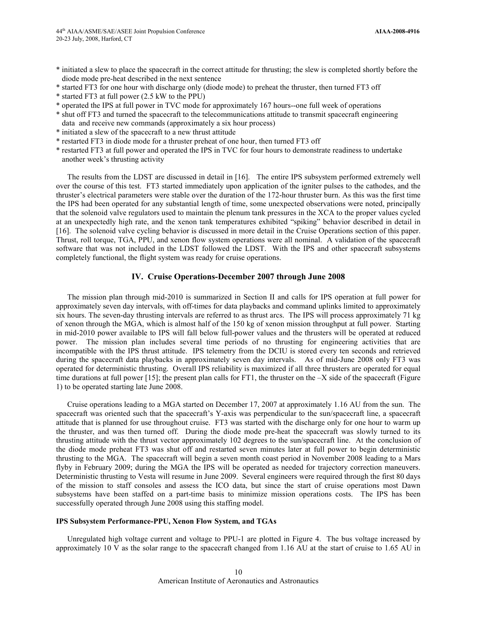- \* initiated a slew to place the spacecraft in the correct attitude for thrusting; the slew is completed shortly before the diode mode pre-heat described in the next sentence
- \* started FT3 for one hour with discharge only (diode mode) to preheat the thruster, then turned FT3 off
- \* started FT3 at full power (2.5 kW to the PPU)
- \* operated the IPS at full power in TVC mode for approximately 167 hours--one full week of operations
- \* shut off FT3 and turned the spacecraft to the telecommunications attitude to transmit spacecraft engineering data and receive new commands (approximately a six hour process)
- \* initiated a slew of the spacecraft to a new thrust attitude
- \* restarted FT3 in diode mode for a thruster preheat of one hour, then turned FT3 off
- \* restarted FT3 at full power and operated the IPS in TVC for four hours to demonstrate readiness to undertake another week's thrusting activity

The results from the LDST are discussed in detail in [16]. The entire IPS subsystem performed extremely well over the course of this test. FT3 started immediately upon application of the igniter pulses to the cathodes, and the thruster's electrical parameters were stable over the duration of the 172-hour thruster burn. As this was the first time the IPS had been operated for any substantial length of time, some unexpected observations were noted, principally that the solenoid valve regulators used to maintain the plenum tank pressures in the XCA to the proper values cycled at an unexpectedly high rate, and the xenon tank temperatures exhibited "spiking" behavior described in detail in [16]. The solenoid valve cycling behavior is discussed in more detail in the Cruise Operations section of this paper. Thrust, roll torque, TGA, PPU, and xenon flow system operations were all nominal. A validation of the spacecraft software that was not included in the LDST followed the LDST. With the IPS and other spacecraft subsystems completely functional, the flight system was ready for cruise operations.

## **IV. Cruise Operations-December 2007 through June 2008**

The mission plan through mid-2010 is summarized in Section II and calls for IPS operation at full power for approximately seven day intervals, with off-times for data playbacks and command uplinks limited to approximately six hours. The seven-day thrusting intervals are referred to as thrust arcs. The IPS will process approximately 71 kg of xenon through the MGA, which is almost half of the 150 kg of xenon mission throughput at full power. Starting in mid-2010 power available to IPS will fall below full-power values and the thrusters will be operated at reduced power. The mission plan includes several time periods of no thrusting for engineering activities that are incompatible with the IPS thrust attitude. IPS telemetry from the DCIU is stored every ten seconds and retrieved during the spacecraft data playbacks in approximately seven day intervals. As of mid-June 2008 only FT3 was operated for deterministic thrusting. Overall IPS reliability is maximized if all three thrusters are operated for equal time durations at full power [15]; the present plan calls for FT1, the thruster on the  $-X$  side of the spacecraft (Figure 1) to be operated starting late June 2008.

Cruise operations leading to a MGA started on December 17, 2007 at approximately 1.16 AU from the sun. The spacecraft was oriented such that the spacecraft's Y-axis was perpendicular to the sun/spacecraft line, a spacecraft attitude that is planned for use throughout cruise. FT3 was started with the discharge only for one hour to warm up the thruster, and was then turned off. During the diode mode pre-heat the spacecraft was slowly turned to its thrusting attitude with the thrust vector approximately 102 degrees to the sun/spacecraft line. At the conclusion of the diode mode preheat FT3 was shut off and restarted seven minutes later at full power to begin deterministic thrusting to the MGA. The spacecraft will begin a seven month coast period in November 2008 leading to a Mars flyby in February 2009; during the MGA the IPS will be operated as needed for trajectory correction maneuvers. Deterministic thrusting to Vesta will resume in June 2009. Several engineers were required through the first 80 days of the mission to staff consoles and assess the ICO data, but since the start of cruise operations most Dawn subsystems have been staffed on a part-time basis to minimize mission operations costs. The IPS has been successfully operated through June 2008 using this staffing model.

#### **IPS Subsystem Performance-PPU, Xenon Flow System, and TGAs**

Unregulated high voltage current and voltage to PPU-1 are plotted in Figure 4. The bus voltage increased by approximately 10 V as the solar range to the spacecraft changed from 1.16 AU at the start of cruise to 1.65 AU in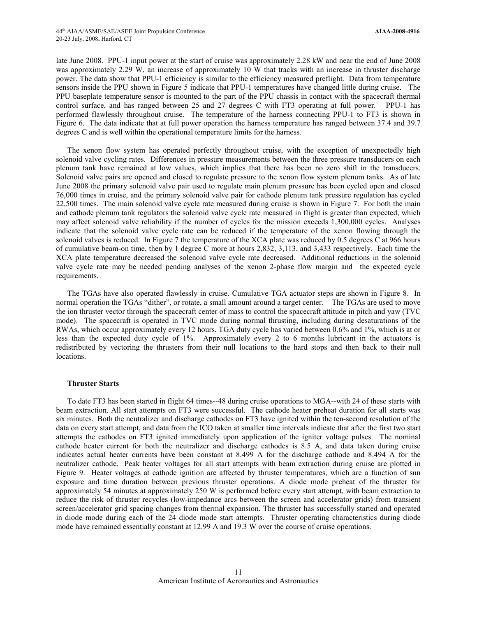late June 2008. PPU-1 input power at the start of cruise was approximately 2.28 kW and near the end of June 2008 was approximately 2.29 W, an increase of approximately 10 W that tracks with an increase in thruster discharge power. The data show that PPU-1 efficiency is similar to the efficiency measured preflight. Data from temperature sensors inside the PPU shown in Figure 5 indicate that PPU-1 temperatures have changed little during cruise. The PPU baseplate temperature sensor is mounted to the part of the PPU chassis in contact with the spacecraft thermal control surface, and has ranged between 25 and 27 degrees C with FT3 operating at full power. PPU-1 has performed flawlessly throughout cruise. The temperature of the harness connecting PPU-1 to FT3 is shown in Figure 6. The data indicate that at full power operation the harness temperature has ranged between 37.4 and 39.7 degrees C and is well within the operational temperature limits for the harness.

The xenon flow system has operated perfectly throughout cruise, with the exception of unexpectedly high solenoid valve cycling rates. Differences in pressure measurements between the three pressure transducers on each plenum tank have remained at low values, which implies that there has been no zero shift in the transducers. Solenoid valve pairs are opened and closed to regulate pressure to the xenon flow system plenum tanks. As of late June 2008 the primary solenoid valve pair used to regulate main plenum pressure has been cycled open and closed 76,000 times in cruise, and the primary solenoid valve pair for cathode plenum tank pressure regulation has cycled 22,500 times. The main solenoid valve cycle rate measured during cruise is shown in Figure 7. For both the main and cathode plenum tank regulators the solenoid valve cycle rate measured in flight is greater than expected, which may affect solenoid valve reliability if the number of cycles for the mission exceeds 1,300,000 cycles. Analyses indicate that the solenoid valve cycle rate can be reduced if the temperature of the xenon flowing through the solenoid valves is reduced. In Figure 7 the temperature of the XCA plate was reduced by 0.5 degrees C at 966 hours of cumulative beam-on time, then by 1 degree C more at hours 2,832, 3,113, and 3,433 respectively. Each time the XCA plate temperature decreased the solenoid valve cycle rate decreased. Additional reductions in the solenoid valve cycle rate may be needed pending analyses of the xenon 2-phase flow margin and the expected cycle requirements.

The TGAs have also operated flawlessly in cruise. Cumulative TGA actuator steps are shown in Figure 8. In normal operation the TGAs "dither", or rotate, a small amount around a target center. The TGAs are used to move the ion thruster vector through the spacecraft center of mass to control the spacecraft attitude in pitch and yaw (TVC mode). The spacecraft is operated in TVC mode during normal thrusting, including during desaturations of the RWAs, which occur approximately every 12 hours. TGA duty cycle has varied between 0.6% and 1%, which is at or less than the expected duty cycle of 1%. Approximately every 2 to 6 months lubricant in the actuators is redistributed by vectoring the thrusters from their null locations to the hard stops and then back to their null locations.

#### **Thruster Starts**

To date FT3 has been started in flight 64 times--48 during cruise operations to MGA--with 24 of these starts with beam extraction. All start attempts on FT3 were successful. The cathode heater preheat duration for all starts was six minutes. Both the neutralizer and discharge cathodes on FT3 have ignited within the ten-second resolution of the data on every start attempt, and data from the ICO taken at smaller time intervals indicate that after the first two start attempts the cathodes on FT3 ignited immediately upon application of the igniter voltage pulses. The nominal cathode heater current for both the neutralizer and discharge cathodes is 8.5 A, and data taken during cruise indicates actual heater currents have been constant at 8.499 A for the discharge cathode and 8.494 A for the neutralizer cathode. Peak heater voltages for all start attempts with beam extraction during cruise are plotted in Figure 9. Heater voltages at cathode ignition are affected by thruster temperatures, which are a function of sun exposure and time duration between previous thruster operations. A diode mode preheat of the thruster for approximately 54 minutes at approximately 250 W is performed before every start attempt, with beam extraction to reduce the risk of thruster recycles (low-impedance arcs between the screen and accelerator grids) from transient screen/accelerator grid spacing changes from thermal expansion. The thruster has successfully started and operated in diode mode during each of the 24 diode mode start attempts. Thruster operating characteristics during diode mode have remained essentially constant at 12.99 A and 19.3 W over the course of cruise operations.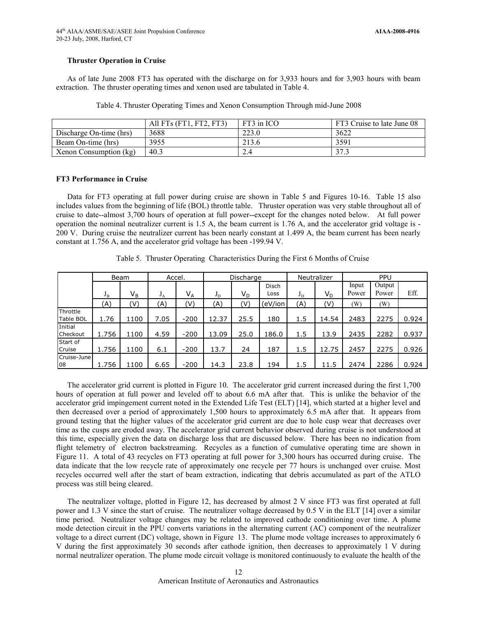# **Thruster Operation in Cruise**

As of late June 2008 FT3 has operated with the discharge on for 3,933 hours and for 3,903 hours with beam extraction. The thruster operating times and xenon used are tabulated in Table 4.

Table 4. Thruster Operating Times and Xenon Consumption Through mid-June 2008

|                         | All FTs (FT1, FT2, FT3) | FT3 in ICO | FT3 Cruise to late June 08 |
|-------------------------|-------------------------|------------|----------------------------|
| Discharge On-time (hrs) | 3688                    | 223.0      | 3622                       |
| Beam On-time (hrs)      | 3955                    | 213.6      | 3591                       |
| Xenon Consumption (kg)  | 40.3                    |            | 37.3                       |

## **FT3 Performance in Cruise**

Data for FT3 operating at full power during cruise are shown in Table 5 and Figures 10-16. Table 15 also includes values from the beginning of life (BOL) throttle table. Thruster operation was very stable throughout all of cruise to date--almost 3,700 hours of operation at full power--except for the changes noted below. At full power operation the nominal neutralizer current is 1.5 A, the beam current is 1.76 A, and the accelerator grid voltage is - 200 V. During cruise the neutralizer current has been nearly constant at 1.499 A, the beam current has been nearly constant at 1.756 A, and the accelerator grid voltage has been -199.94 V.

|                              |             | Beam                    | Accel. |        | Discharge |                         | Neutralizer |       | PPU   |       |        |       |
|------------------------------|-------------|-------------------------|--------|--------|-----------|-------------------------|-------------|-------|-------|-------|--------|-------|
|                              |             |                         |        |        |           |                         | Disch       |       |       | Input | Output |       |
|                              | $J_{\rm B}$ | $\mathsf{V}_\mathsf{B}$ | $J_A$  | $V_A$  | $J_D$     | $\mathsf{V}_\mathsf{D}$ | Loss        | $J_D$ | $V_D$ | Power | Power  | Eff.  |
|                              | (A)         | (V)                     | (A)    | (V)    | A)        | (V)                     | eV/ion)     | (A)   | (V)   | (W)   | (W)    |       |
| Throttle<br><b>Table BOL</b> | 1.76        | 1100                    | 7.05   | $-200$ | 12.37     | 25.5                    | 180         | 1.5   | 14.54 | 2483  | 2275   | 0.924 |
| Initial<br>Checkout          | 1.756       | 1100                    | 4.59   | $-200$ | 13.09     | 25.0                    | 186.0       | 1.5   | 13.9  | 2435  | 2282   | 0.937 |
| Start of<br>Cruise           | 1.756       | 1100                    | 6.1    | $-200$ | 13.7      | 24                      | 187         | 1.5   | 12.75 | 2457  | 2275   | 0.926 |
| Cruise-June<br>08            | 1.756       | 1100                    | 6.65   | $-200$ | 14.3      | 23.8                    | 194         | 1.5   | 11.5  | 2474  | 2286   | 0.924 |

Table 5. Thruster Operating Characteristics During the First 6 Months of Cruise

The accelerator grid current is plotted in Figure 10. The accelerator grid current increased during the first 1,700 hours of operation at full power and leveled off to about 6.6 mA after that. This is unlike the behavior of the accelerator grid impingement current noted in the Extended Life Test (ELT) [14], which started at a higher level and then decreased over a period of approximately 1,500 hours to approximately 6.5 mA after that. It appears from ground testing that the higher values of the accelerator grid current are due to hole cusp wear that decreases over time as the cusps are eroded away. The accelerator grid current behavior observed during cruise is not understood at this time, especially given the data on discharge loss that are discussed below. There has been no indication from flight telemetry of electron backstreaming. Recycles as a function of cumulative operating time are shown in Figure 11. A total of 43 recycles on FT3 operating at full power for 3,300 hours has occurred during cruise. The data indicate that the low recycle rate of approximately one recycle per 77 hours is unchanged over cruise. Most recycles occurred well after the start of beam extraction, indicating that debris accumulated as part of the ATLO process was still being cleared.

The neutralizer voltage, plotted in Figure 12, has decreased by almost 2 V since FT3 was first operated at full power and 1.3 V since the start of cruise. The neutralizer voltage decreased by 0.5 V in the ELT [14] over a similar time period. Neutralizer voltage changes may be related to improved cathode conditioning over time. A plume mode detection circuit in the PPU converts variations in the alternating current (AC) component of the neutralizer voltage to a direct current (DC) voltage, shown in Figure 13. The plume mode voltage increases to approximately 6 V during the first approximately 30 seconds after cathode ignition, then decreases to approximately 1 V during normal neutralizer operation. The plume mode circuit voltage is monitored continuously to evaluate the health of the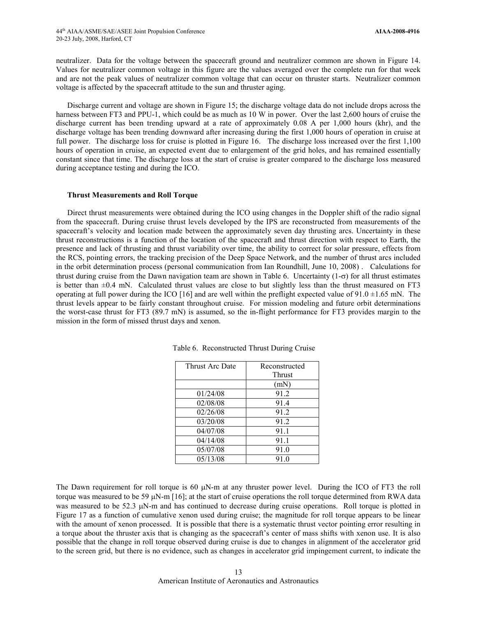neutralizer. Data for the voltage between the spacecraft ground and neutralizer common are shown in Figure 14. Values for neutralizer common voltage in this figure are the values averaged over the complete run for that week and are not the peak values of neutralizer common voltage that can occur on thruster starts. Neutralizer common voltage is affected by the spacecraft attitude to the sun and thruster aging.

Discharge current and voltage are shown in Figure 15; the discharge voltage data do not include drops across the harness between FT3 and PPU-1, which could be as much as 10 W in power. Over the last 2,600 hours of cruise the discharge current has been trending upward at a rate of approximately 0.08 A per 1,000 hours (khr), and the discharge voltage has been trending downward after increasing during the first 1,000 hours of operation in cruise at full power. The discharge loss for cruise is plotted in Figure 16. The discharge loss increased over the first 1,100 hours of operation in cruise, an expected event due to enlargement of the grid holes, and has remained essentially constant since that time. The discharge loss at the start of cruise is greater compared to the discharge loss measured during acceptance testing and during the ICO.

#### **Thrust Measurements and Roll Torque**

Direct thrust measurements were obtained during the ICO using changes in the Doppler shift of the radio signal from the spacecraft. During cruise thrust levels developed by the IPS are reconstructed from measurements of the spacecraft's velocity and location made between the approximately seven day thrusting arcs. Uncertainty in these thrust reconstructions is a function of the location of the spacecraft and thrust direction with respect to Earth, the presence and lack of thrusting and thrust variability over time, the ability to correct for solar pressure, effects from the RCS, pointing errors, the tracking precision of the Deep Space Network, and the number of thrust arcs included in the orbit determination process (personal communication from Ian Roundhill, June 10, 2008) . Calculations for thrust during cruise from the Dawn navigation team are shown in Table 6. Uncertainty  $(1-\sigma)$  for all thrust estimates is better than  $\pm 0.4$  mN. Calculated thrust values are close to but slightly less than the thrust measured on FT3 operating at full power during the ICO [16] and are well within the preflight expected value of  $91.0 \pm 1.65$  mN. The thrust levels appear to be fairly constant throughout cruise. For mission modeling and future orbit determinations the worst-case thrust for FT3 (89.7 mN) is assumed, so the in-flight performance for FT3 provides margin to the mission in the form of missed thrust days and xenon.

| Thrust Arc Date | Reconstructed |
|-----------------|---------------|
|                 | Thrust        |
|                 | (mN)          |
| 01/24/08        | 91.2          |
| 02/08/08        | 91.4          |
| 02/26/08        | 91.2          |
| 03/20/08        | 91.2          |
| 04/07/08        | 91.1          |
| 04/14/08        | 91.1          |
| 05/07/08        | 91.0          |
| 05/13/08        | 91.0          |

Table 6. Reconstructed Thrust During Cruise

The Dawn requirement for roll torque is 60  $\mu$ N-m at any thruster power level. During the ICO of FT3 the roll torque was measured to be 59  $\mu$ N-m [16]; at the start of cruise operations the roll torque determined from RWA data was measured to be 52.3  $\mu$ N-m and has continued to decrease during cruise operations. Roll torque is plotted in Figure 17 as a function of cumulative xenon used during cruise; the magnitude for roll torque appears to be linear with the amount of xenon processed. It is possible that there is a systematic thrust vector pointing error resulting in a torque about the thruster axis that is changing as the spacecraft's center of mass shifts with xenon use. It is also possible that the change in roll torque observed during cruise is due to changes in alignment of the accelerator grid to the screen grid, but there is no evidence, such as changes in accelerator grid impingement current, to indicate the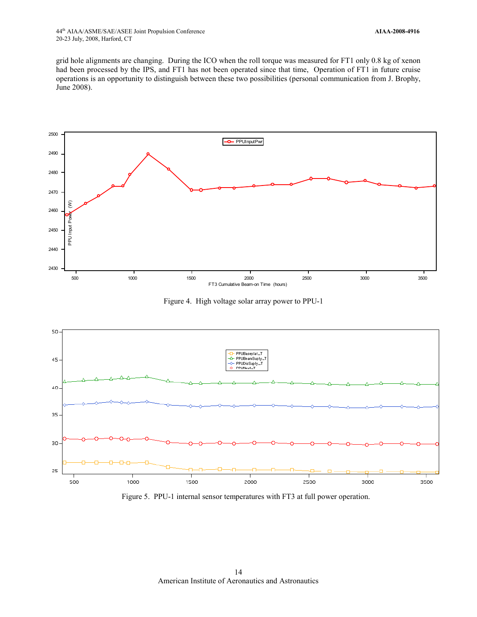grid hole alignments are changing. During the ICO when the roll torque was measured for FT1 only 0.8 kg of xenon had been processed by the IPS, and FT1 has not been operated since that time, Operation of FT1 in future cruise operations is an opportunity to distinguish between these two possibilities (personal communication from J. Brophy, June 2008).



Figure 4. High voltage solar array power to PPU-1



Figure 5. PPU-1 internal sensor temperatures with FT3 at full power operation.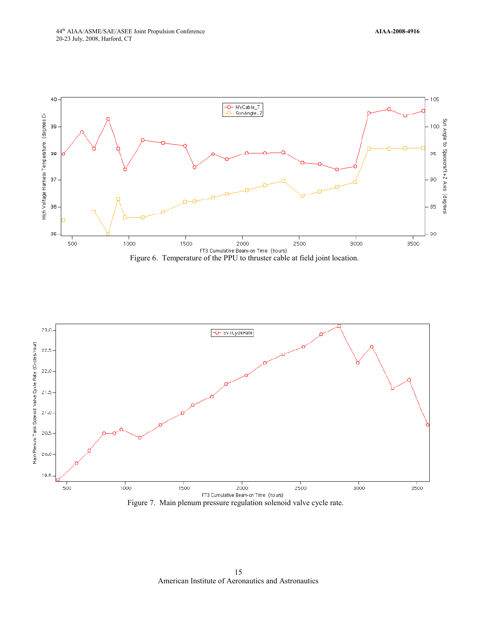





American Institute of Aeronautics and Astronautics 15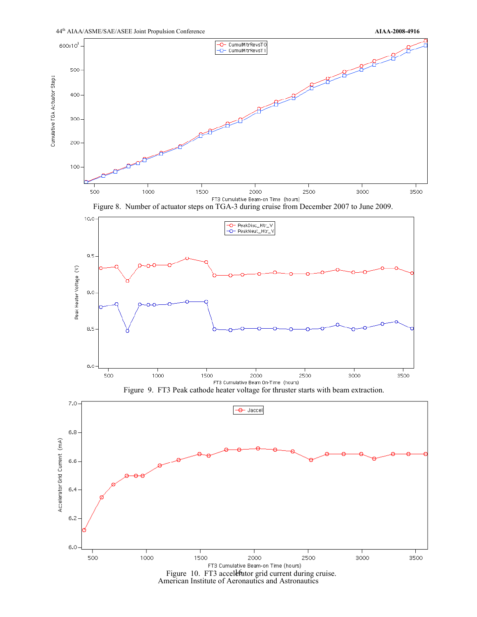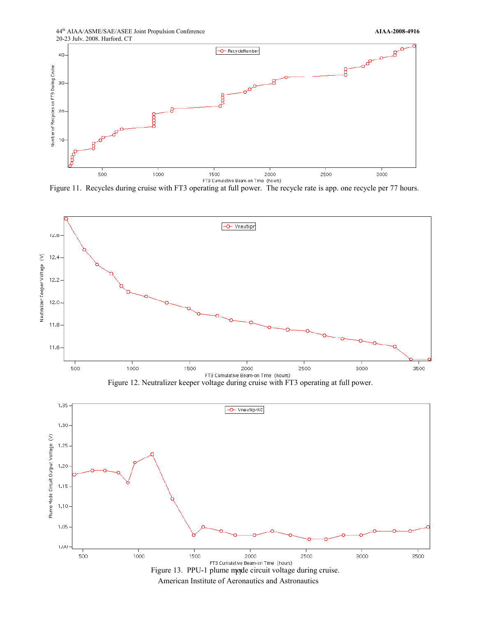44th AIAA/ASME/SAE/ASEE Joint Propulsion Conference **AIAA-2008-4916** 20-23 July, 2008, Harford, CT



Figure 11. Recycles during cruise with FT3 operating at full power. The recycle rate is app. one recycle per 77 hours.



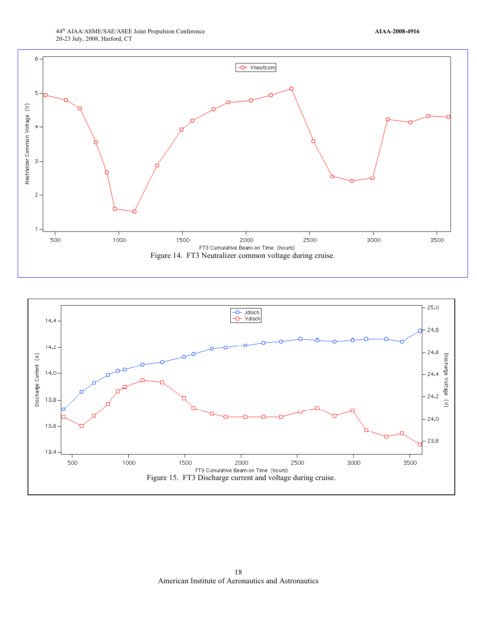

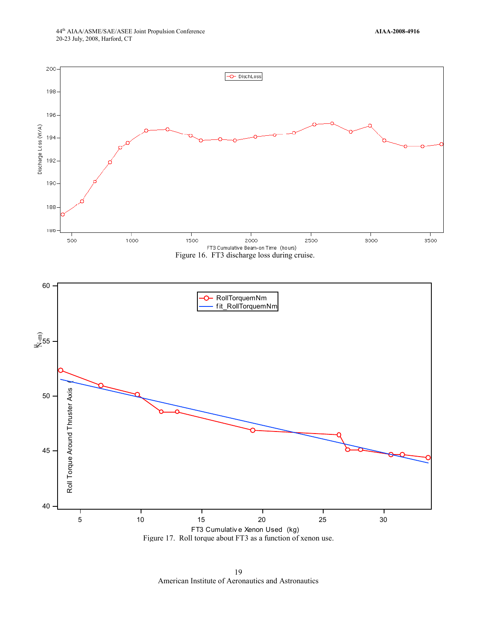

American Institute of Aeronautics and Astronautics 19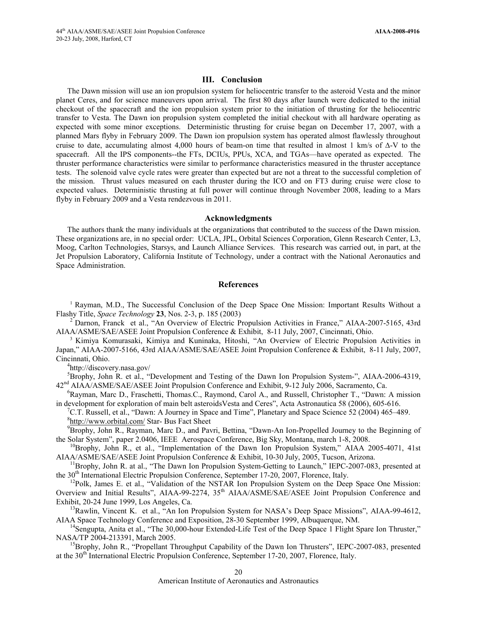#### **III. Conclusion**

The Dawn mission will use an ion propulsion system for heliocentric transfer to the asteroid Vesta and the minor planet Ceres, and for science maneuvers upon arrival. The first 80 days after launch were dedicated to the initial checkout of the spacecraft and the ion propulsion system prior to the initiation of thrusting for the heliocentric transfer to Vesta. The Dawn ion propulsion system completed the initial checkout with all hardware operating as expected with some minor exceptions. Deterministic thrusting for cruise began on December 17, 2007, with a planned Mars flyby in February 2009. The Dawn ion propulsion system has operated almost flawlessly throughout cruise to date, accumulating almost 4,000 hours of beam-on time that resulted in almost 1 km/s of ∆-V to the spacecraft. All the IPS components--the FTs, DCIUs, PPUs, XCA, and TGAs—have operated as expected. The thruster performance characteristics were similar to performance characteristics measured in the thruster acceptance tests. The solenoid valve cycle rates were greater than expected but are not a threat to the successful completion of the mission. Thrust values measured on each thruster during the ICO and on FT3 during cruise were close to expected values. Deterministic thrusting at full power will continue through November 2008, leading to a Mars flyby in February 2009 and a Vesta rendezvous in 2011.

# **Acknowledgments**

The authors thank the many individuals at the organizations that contributed to the success of the Dawn mission. These organizations are, in no special order: UCLA, JPL, Orbital Sciences Corporation, Glenn Research Center, L3, Moog, Carlton Technologies, Starsys, and Launch Alliance Services. This research was carried out, in part, at the Jet Propulsion Laboratory, California Institute of Technology, under a contract with the National Aeronautics and Space Administration.

# **References**

1 Rayman, M.D., The Successful Conclusion of the Deep Space One Mission: Important Results Without a

Flashy Title, *Space Technology* 23, Nos. 2-3, p. 185 (2003)<br><sup>2</sup> Darnon, Franck et al., "An Overview of Electric Propulsion Activities in France," AIAA-2007-5165, 43rd<br>AIAA/ASME/SAE/ASEE Joint Propulsion Conference & Exhib

Kimiya Komurasaki, Kimiya and Kuninaka, Hitoshi, "An Overview of Electric Propulsion Activities in Japan," AIAA-2007-5166, 43rd AIAA/ASME/SAE/ASEE Joint Propulsion Conference & Exhibit, 8-11 July, 2007, Cincinnati, Ohio. 4

http://discovery.nasa.gov/

<sup>5</sup>Brophy, John R. et al., "Development and Testing of the Dawn Ion Propulsion System-", AIAA-2006-4319, 42nd AIAA/ASME/SAE/ASEE Joint Propulsion Conference and Exhibit, 9-12 July 2006, Sacramento, Ca.

6 Rayman, Marc D., Fraschetti, Thomas.C., Raymond, Carol A., and Russell, Christopher T., "Dawn: A mission in development for exploration of main belt asteroidsVesta and Ceres", Acta Astronautica 58 (2006), 605-616.

C.T. Russell, et al., "Dawn: A Journey in Space and Time", Planetary and Space Science 52 (2004) 465–489. 8 <http://www.orbital.com/> Star- Bus Fact Sheet

<sup>9</sup>Brophy, John R., Rayman, Marc D., and Pavri, Bettina, "Dawn-An Ion-Propelled Journey to the Beginning of the Solar System", paper 2.0406, IEEE Aerospace Conference, Big Sky, Montana, march 1-8, 2008.

<sup>10</sup>Brophy, John R., et al., "Implementation of the Dawn Ion Propulsion System," AIAA 2005-4071, 41st

AIAA/ASME/SAE/ASEE Joint Propulsion Conference & Exhibit, 10-30 July, 2005, Tucson, Arizona.<br><sup>11</sup>Brophy, John R. at al., "The Dawn Ion Propulsion System-Getting to Launch," IEPC-2007-083, presented at the 30<sup>th</sup> Internatio

 $12$ Polk, James E. et al., "Validation of the NSTAR Ion Propulsion System on the Deep Space One Mission: Overview and Initial Results", AIAA-99-2274, 35<sup>th</sup> AIAA/ASME/SAE/ASEE Joint Propulsion Conference and Exhibit, 20-24 June 1999, Los Angeles, Ca.

<sup>13</sup>Rawlin, Vincent K. et al., "An Ion Propulsion System for NASA's Deep Space Missions", AIAA-99-4612, AIAA Space Technology Conference and Exposition, 28-30 September 1999, Albuquerque, NM.<br><sup>14</sup>Sengupta, Anita et al., "The 30,000-hour Extended-Life Test of the Deep Space 1 Flight Spare Ion Thruster,"

NASA/TP 2004-213391, March 2005.

<sup>15</sup>Brophy, John R., "Propellant Throughput Capability of the Dawn Ion Thrusters", IEPC-2007-083, presented at the 30<sup>th</sup> International Electric Propulsion Conference, September 17-20, 2007, Florence, Italy.